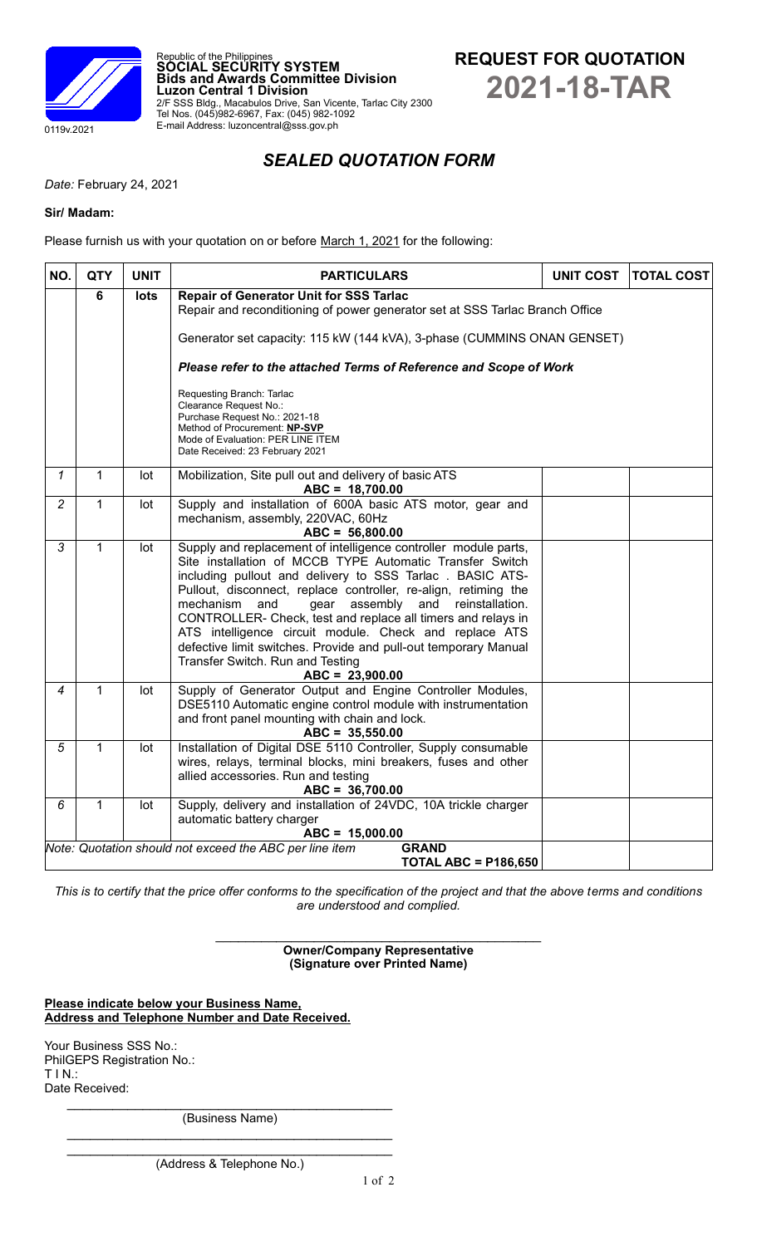



## *SEALED QUOTATION FORM*

*Date:* February 24, 2021

## **Sir/ Madam:**

Please furnish us with your quotation on or before March 1, 2021 for the following:

Republic of the Philippines **SOCIAL SECURITY SYSTEM**

Tel Nos. (045)982-6967, Fax: (045) 982-1092 E-mail Address: luzoncentral@sss.gov.ph

**Luzon Central 1 Division**

| NO.            | <b>QTY</b>                                                         | <b>UNIT</b> | <b>PARTICULARS</b>                                                                                                                                                                                                                                                                                                                                                                                                                                                                                                                                                              | <b>UNIT COST</b> | <b>TOTAL COST</b> |  |  |  |  |  |  |
|----------------|--------------------------------------------------------------------|-------------|---------------------------------------------------------------------------------------------------------------------------------------------------------------------------------------------------------------------------------------------------------------------------------------------------------------------------------------------------------------------------------------------------------------------------------------------------------------------------------------------------------------------------------------------------------------------------------|------------------|-------------------|--|--|--|--|--|--|
|                | 6<br><b>Repair of Generator Unit for SSS Tarlac</b><br><b>lots</b> |             |                                                                                                                                                                                                                                                                                                                                                                                                                                                                                                                                                                                 |                  |                   |  |  |  |  |  |  |
|                |                                                                    |             | Repair and reconditioning of power generator set at SSS Tarlac Branch Office                                                                                                                                                                                                                                                                                                                                                                                                                                                                                                    |                  |                   |  |  |  |  |  |  |
|                |                                                                    |             | Generator set capacity: 115 kW (144 kVA), 3-phase (CUMMINS ONAN GENSET)                                                                                                                                                                                                                                                                                                                                                                                                                                                                                                         |                  |                   |  |  |  |  |  |  |
|                |                                                                    |             | Please refer to the attached Terms of Reference and Scope of Work                                                                                                                                                                                                                                                                                                                                                                                                                                                                                                               |                  |                   |  |  |  |  |  |  |
|                |                                                                    |             | Requesting Branch: Tarlac<br>Clearance Request No.:<br>Purchase Request No.: 2021-18<br>Method of Procurement: NP-SVP<br>Mode of Evaluation: PER LINE ITEM<br>Date Received: 23 February 2021                                                                                                                                                                                                                                                                                                                                                                                   |                  |                   |  |  |  |  |  |  |
| $\mathcal I$   | $\mathbf{1}$                                                       | lot         | Mobilization, Site pull out and delivery of basic ATS<br>$ABC = 18,700.00$                                                                                                                                                                                                                                                                                                                                                                                                                                                                                                      |                  |                   |  |  |  |  |  |  |
| $\overline{2}$ | 1                                                                  | lot         | Supply and installation of 600A basic ATS motor, gear and<br>mechanism, assembly, 220VAC, 60Hz<br>$ABC = 56,800.00$                                                                                                                                                                                                                                                                                                                                                                                                                                                             |                  |                   |  |  |  |  |  |  |
| $\overline{3}$ | $\overline{1}$                                                     | lot         | Supply and replacement of intelligence controller module parts,<br>Site installation of MCCB TYPE Automatic Transfer Switch<br>including pullout and delivery to SSS Tarlac. BASIC ATS-<br>Pullout, disconnect, replace controller, re-align, retiming the<br>assembly and<br>mechanism<br>and<br>gear<br>reinstallation.<br>CONTROLLER- Check, test and replace all timers and relays in<br>ATS intelligence circuit module. Check and replace ATS<br>defective limit switches. Provide and pull-out temporary Manual<br>Transfer Switch. Run and Testing<br>$ABC = 23,900.00$ |                  |                   |  |  |  |  |  |  |
| 4              | $\mathbf{1}$                                                       | lot         | Supply of Generator Output and Engine Controller Modules,<br>DSE5110 Automatic engine control module with instrumentation<br>and front panel mounting with chain and lock.<br>$ABC = 35,550.00$                                                                                                                                                                                                                                                                                                                                                                                 |                  |                   |  |  |  |  |  |  |
| 5              | $\mathbf 1$                                                        | lot         | Installation of Digital DSE 5110 Controller, Supply consumable<br>wires, relays, terminal blocks, mini breakers, fuses and other<br>allied accessories. Run and testing<br>$ABC = 36,700.00$                                                                                                                                                                                                                                                                                                                                                                                    |                  |                   |  |  |  |  |  |  |
| 6              | $\mathbf{1}$                                                       | lot         | Supply, delivery and installation of 24VDC, 10A trickle charger<br>automatic battery charger<br>$ABC = 15,000.00$                                                                                                                                                                                                                                                                                                                                                                                                                                                               |                  |                   |  |  |  |  |  |  |
|                |                                                                    |             | Note: Quotation should not exceed the ABC per line item<br><b>GRAND</b><br><b>TOTAL ABC = P186,650</b>                                                                                                                                                                                                                                                                                                                                                                                                                                                                          |                  |                   |  |  |  |  |  |  |

*This is to certify that the price offer conforms to the specification of the project and that the above terms and conditions are understood and complied.*

> **Owner/Company Representative (Signature over Printed Name)**

**Please indicate below your Business Name, Address and Telephone Number and Date Received.**

Your Business SSS No.: PhilGEPS Registration No.: T I N.: Date Received:

> $\mathcal{L}_\text{max}$  , which is a set of the set of the set of the set of the set of the set of the set of the set of the set of the set of the set of the set of the set of the set of the set of the set of the set of the set of (Business Name)  $\mathcal{L}_\text{max}$  , which is a set of the set of the set of the set of the set of the set of the set of the set of the set of the set of the set of the set of the set of the set of the set of the set of the set of the set of

> $\mathcal{L}_\text{max}$  , where  $\mathcal{L}_\text{max}$  and  $\mathcal{L}_\text{max}$  and  $\mathcal{L}_\text{max}$  and  $\mathcal{L}_\text{max}$ (Address & Telephone No.)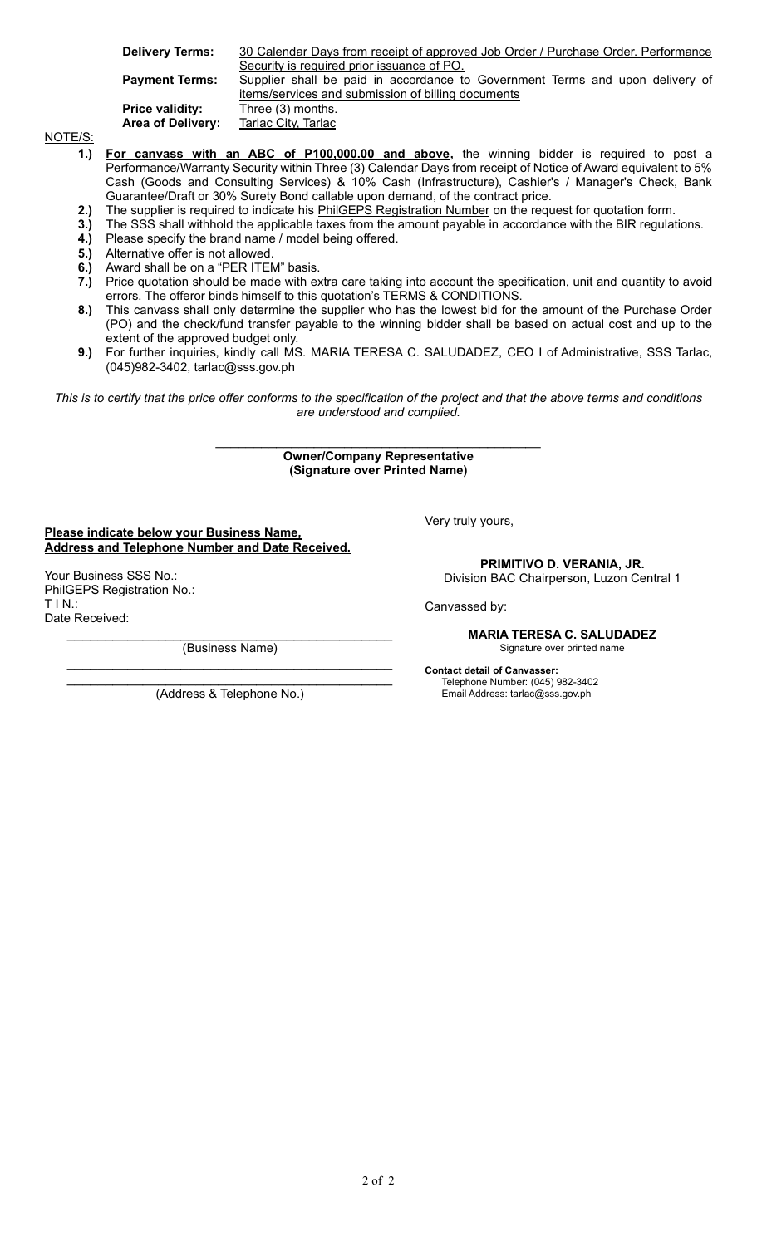**Delivery Terms:** 30 Calendar Days from receipt of approved Job Order / Purchase Order. Performance Security is required prior issuance of PO.

**Payment Terms:** Supplier shall be paid in accordance to Government Terms and upon delivery of

items/services and submission of billing documents **Price validity:** Three (3) months. Area of Delivery: Tarlac City, Tarlac

NOTE/S:

**1.) For canvass with an ABC of P100,000.00 and above,** the winning bidder is required to post a Performance/Warranty Security within Three (3) Calendar Days from receipt of Notice of Award equivalent to 5% Cash (Goods and Consulting Services) & 10% Cash (Infrastructure), Cashier's / Manager's Check, Bank Guarantee/Draft or 30% Surety Bond callable upon demand, of the contract price.

**2.)** The supplier is required to indicate his PhilGEPS Registration Number on the request for quotation form.

- **3.)** The SSS shall withhold the applicable taxes from the amount payable in accordance with the BIR regulations.
- **4.)** Please specify the brand name / model being offered.
- **5.)** Alternative offer is not allowed.
- **6.)** Award shall be on a "PER ITEM" basis.
- **7.)** Price quotation should be made with extra care taking into account the specification, unit and quantity to avoid errors. The offeror binds himself to this quotation's TERMS & CONDITIONS.
- **8.)** This canvass shall only determine the supplier who has the lowest bid for the amount of the Purchase Order (PO) and the check/fund transfer payable to the winning bidder shall be based on actual cost and up to the extent of the approved budget only.
- **9.)** For further inquiries, kindly call MS. MARIA TERESA C. SALUDADEZ, CEO I of Administrative, SSS Tarlac, (045)982-3402, tarlac@sss.gov.ph

*This is to certify that the price offer conforms to the specification of the project and that the above terms and conditions are understood and complied.*

> $\mathcal{L}_\text{max}$  , where  $\mathcal{L}_\text{max}$  and  $\mathcal{L}_\text{max}$  and  $\mathcal{L}_\text{max}$  and  $\mathcal{L}_\text{max}$ **Owner/Company Representative (Signature over Printed Name)**

**Please indicate below your Business Name, Address and Telephone Number and Date Received.**

Your Business SSS No.: PhilGEPS Registration No.: T I N.: Date Received:

> $\mathcal{L}_\text{max}$  , which is a set of the set of the set of the set of the set of the set of the set of the set of the set of the set of the set of the set of the set of the set of the set of the set of the set of the set of (Business Name)  $\mathcal{L}_\text{max}$  , which is a set of the set of the set of the set of the set of the set of the set of the set of the set of the set of the set of the set of the set of the set of the set of the set of the set of the set of

> $\mathcal{L}_\text{max}$  , which is a set of the set of the set of the set of the set of the set of the set of the set of the set of the set of the set of the set of the set of the set of the set of the set of the set of the set of (Address & Telephone No.)

Very truly yours,

**PRIMITIVO D. VERANIA, JR.** Division BAC Chairperson, Luzon Central 1

Canvassed by:

**MARIA TERESA C. SALUDADEZ** Signature over printed name

**Contact detail of Canvasser:** Telephone Number: (045) 982-3402 Email Address: tarlac@sss.gov.ph